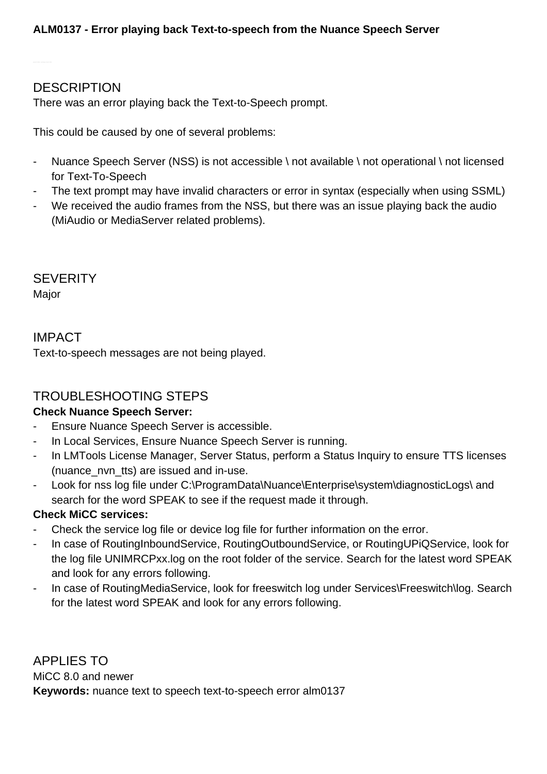## **DESCRIPTION**

There was an error playing back the Text-to-Speech prompt.

This could be caused by one of several problems:

- Nuance Speech Server (NSS) is not accessible \ not available \ not operational \ not licensed for Text-To-Speech
- The text prompt may have invalid characters or error in syntax (especially when using SSML)
- We received the audio frames from the NSS, but there was an issue playing back the audio (MiAudio or MediaServer related problems).

**SEVERITY** 

Major

IMPACT Text-to-speech messages are not being played.

## TROUBLESHOOTING STEPS

## **Check Nuance Speech Server:**

- Ensure Nuance Speech Server is accessible.
- In Local Services, Ensure Nuance Speech Server is running.
- In LMTools License Manager, Server Status, perform a Status Inquiry to ensure TTS licenses (nuance\_nvn\_tts) are issued and in-use.
- Look for nss log file under C:\ProgramData\Nuance\Enterprise\system\diagnosticLogs\ and search for the word SPEAK to see if the request made it through.

## **Check MiCC services:**

- Check the service log file or device log file for further information on the error.
- In case of RoutingInboundService, RoutingOutboundService, or RoutingUPiQService, look for the log file UNIMRCPxx.log on the root folder of the service. Search for the latest word SPEAK and look for any errors following.
- In case of RoutingMediaService, look for freeswitch log under Services\Freeswitch\log. Search for the latest word SPEAK and look for any errors following.

APPLIES TO MiCC 8.0 and newer **Keywords:** nuance text to speech text-to-speech error alm0137